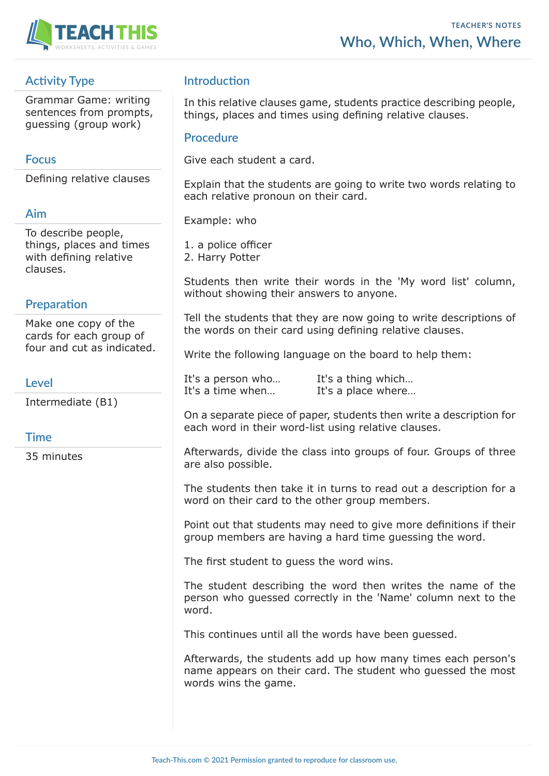

# **Activity Type**

Grammar Game: writing sentences from prompts, guessing (group work)

### **Focus**

Defining relative clauses

#### **Aim**

To describe people, things, places and times with defining relative clauses.

### **Preparation**

Make one copy of the cards for each group of four and cut as indicated.

#### **Level**

Intermediate (B1)

#### **Time**

35 minutes

## **Introduction**

In this relative clauses game, students practice describing people, things, places and times using defining relative clauses.

#### **Procedure**

Give each student a card.

Explain that the students are going to write two words relating to each relative pronoun on their card.

Example: who

1. a police officer 2. Harry Potter

Students then write their words in the 'My word list' column, without showing their answers to anyone.

Tell the students that they are now going to write descriptions of the words on their card using defining relative clauses.

Write the following language on the board to help them:

It's a person who... It's a thing which... It's a time when... It's a place where...

On a separate piece of paper, students then write a description for each word in their word-list using relative clauses.

Afterwards, divide the class into groups of four. Groups of three are also possible.

The students then take it in turns to read out a description for a word on their card to the other group members.

Point out that students may need to give more definitions if their group members are having a hard time guessing the word.

The first student to guess the word wins.

The student describing the word then writes the name of the person who guessed correctly in the 'Name' column next to the word.

This continues until all the words have been guessed.

Afterwards, the students add up how many times each person's name appears on their card. The student who guessed the most words wins the game.